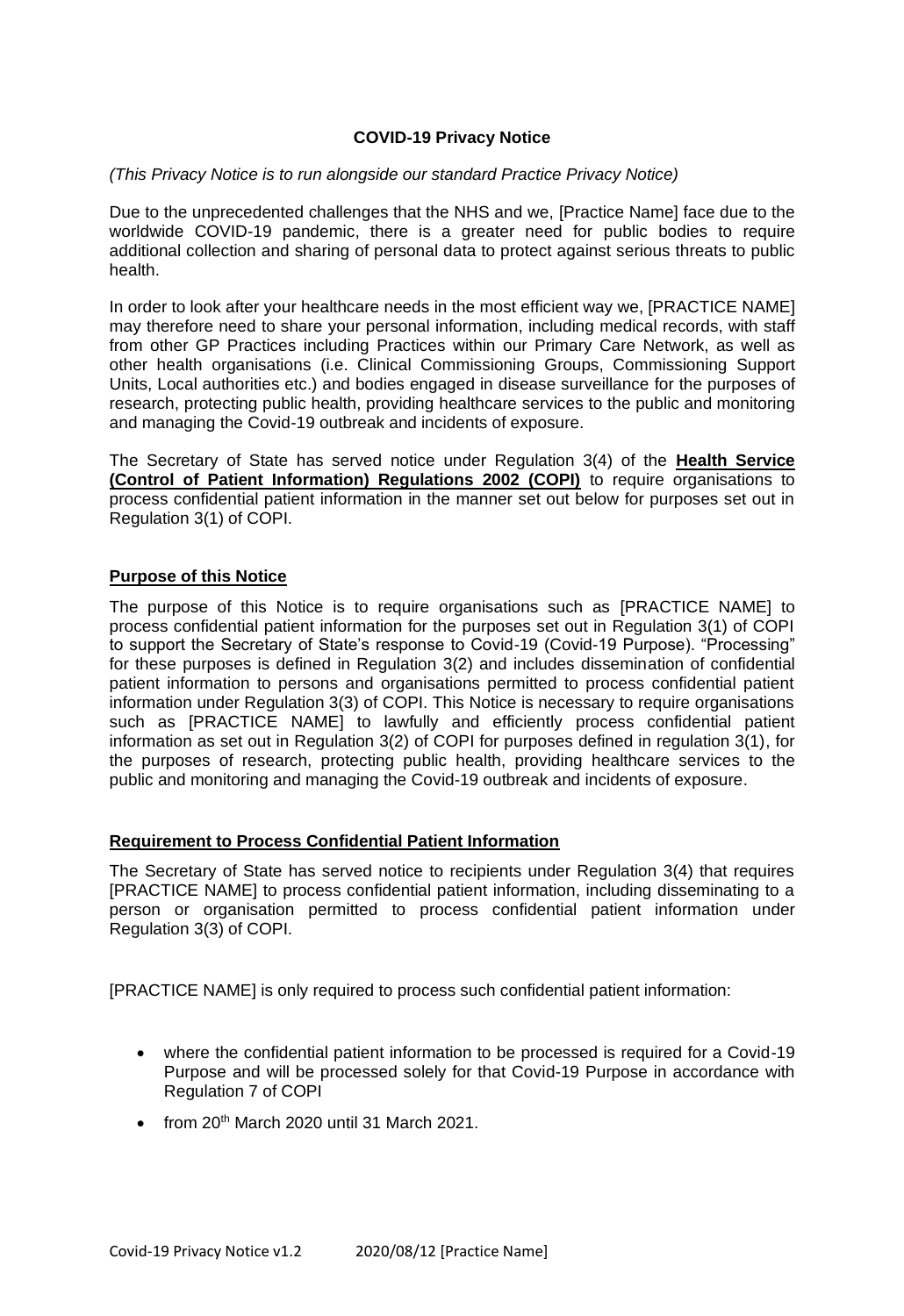### **COVID-19 Privacy Notice**

### *(This Privacy Notice is to run alongside our standard Practice Privacy Notice)*

Due to the unprecedented challenges that the NHS and we, [Practice Name] face due to the worldwide COVID-19 pandemic, there is a greater need for public bodies to require additional collection and sharing of personal data to protect against serious threats to public health.

In order to look after your healthcare needs in the most efficient way we, [PRACTICE NAME] may therefore need to share your personal information, including medical records, with staff from other GP Practices including Practices within our Primary Care Network, as well as other health organisations (i.e. Clinical Commissioning Groups, Commissioning Support Units, Local authorities etc.) and bodies engaged in disease surveillance for the purposes of research, protecting public health, providing healthcare services to the public and monitoring and managing the Covid-19 outbreak and incidents of exposure.

The Secretary of State has served notice under Regulation 3(4) of the **Health Service (Control of Patient Information) Regulations 2002 (COPI)** to require organisations to process confidential patient information in the manner set out below for purposes set out in Regulation 3(1) of COPI.

### **Purpose of this Notice**

The purpose of this Notice is to require organisations such as [PRACTICE NAME] to process confidential patient information for the purposes set out in Regulation 3(1) of COPI to support the Secretary of State's response to Covid-19 (Covid-19 Purpose). "Processing" for these purposes is defined in Regulation 3(2) and includes dissemination of confidential patient information to persons and organisations permitted to process confidential patient information under Regulation 3(3) of COPI. This Notice is necessary to require organisations such as [PRACTICE NAME] to lawfully and efficiently process confidential patient information as set out in Regulation 3(2) of COPI for purposes defined in regulation 3(1), for the purposes of research, protecting public health, providing healthcare services to the public and monitoring and managing the Covid-19 outbreak and incidents of exposure.

### **Requirement to Process Confidential Patient Information**

The Secretary of State has served notice to recipients under Regulation 3(4) that requires [PRACTICE NAME] to process confidential patient information, including disseminating to a person or organisation permitted to process confidential patient information under Regulation 3(3) of COPI.

[PRACTICE NAME] is only required to process such confidential patient information:

- where the confidential patient information to be processed is required for a Covid-19 Purpose and will be processed solely for that Covid-19 Purpose in accordance with Regulation 7 of COPI
- $\bullet$  from 20<sup>th</sup> March 2020 until 31 March 2021.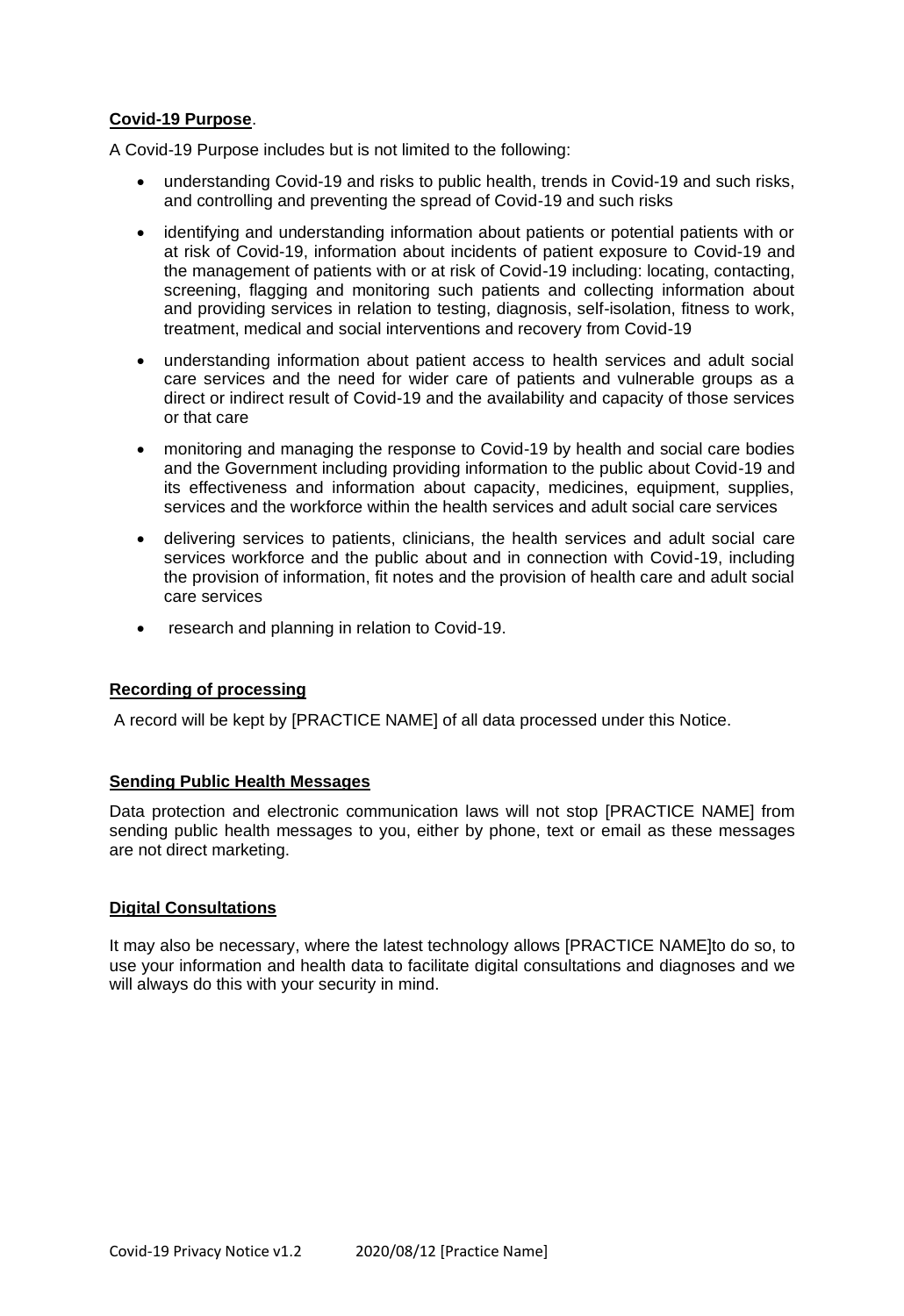# **Covid-19 Purpose**.

A Covid-19 Purpose includes but is not limited to the following:

- understanding Covid-19 and risks to public health, trends in Covid-19 and such risks, and controlling and preventing the spread of Covid-19 and such risks
- identifying and understanding information about patients or potential patients with or at risk of Covid-19, information about incidents of patient exposure to Covid-19 and the management of patients with or at risk of Covid-19 including: locating, contacting, screening, flagging and monitoring such patients and collecting information about and providing services in relation to testing, diagnosis, self-isolation, fitness to work, treatment, medical and social interventions and recovery from Covid-19
- understanding information about patient access to health services and adult social care services and the need for wider care of patients and vulnerable groups as a direct or indirect result of Covid-19 and the availability and capacity of those services or that care
- monitoring and managing the response to Covid-19 by health and social care bodies and the Government including providing information to the public about Covid-19 and its effectiveness and information about capacity, medicines, equipment, supplies, services and the workforce within the health services and adult social care services
- delivering services to patients, clinicians, the health services and adult social care services workforce and the public about and in connection with Covid-19, including the provision of information, fit notes and the provision of health care and adult social care services
- research and planning in relation to Covid-19.

# **Recording of processing**

A record will be kept by [PRACTICE NAME] of all data processed under this Notice.

# **Sending Public Health Messages**

Data protection and electronic communication laws will not stop [PRACTICE NAME] from sending public health messages to you, either by phone, text or email as these messages are not direct marketing.

# **Digital Consultations**

It may also be necessary, where the latest technology allows [PRACTICE NAME]to do so, to use your information and health data to facilitate digital consultations and diagnoses and we will always do this with your security in mind.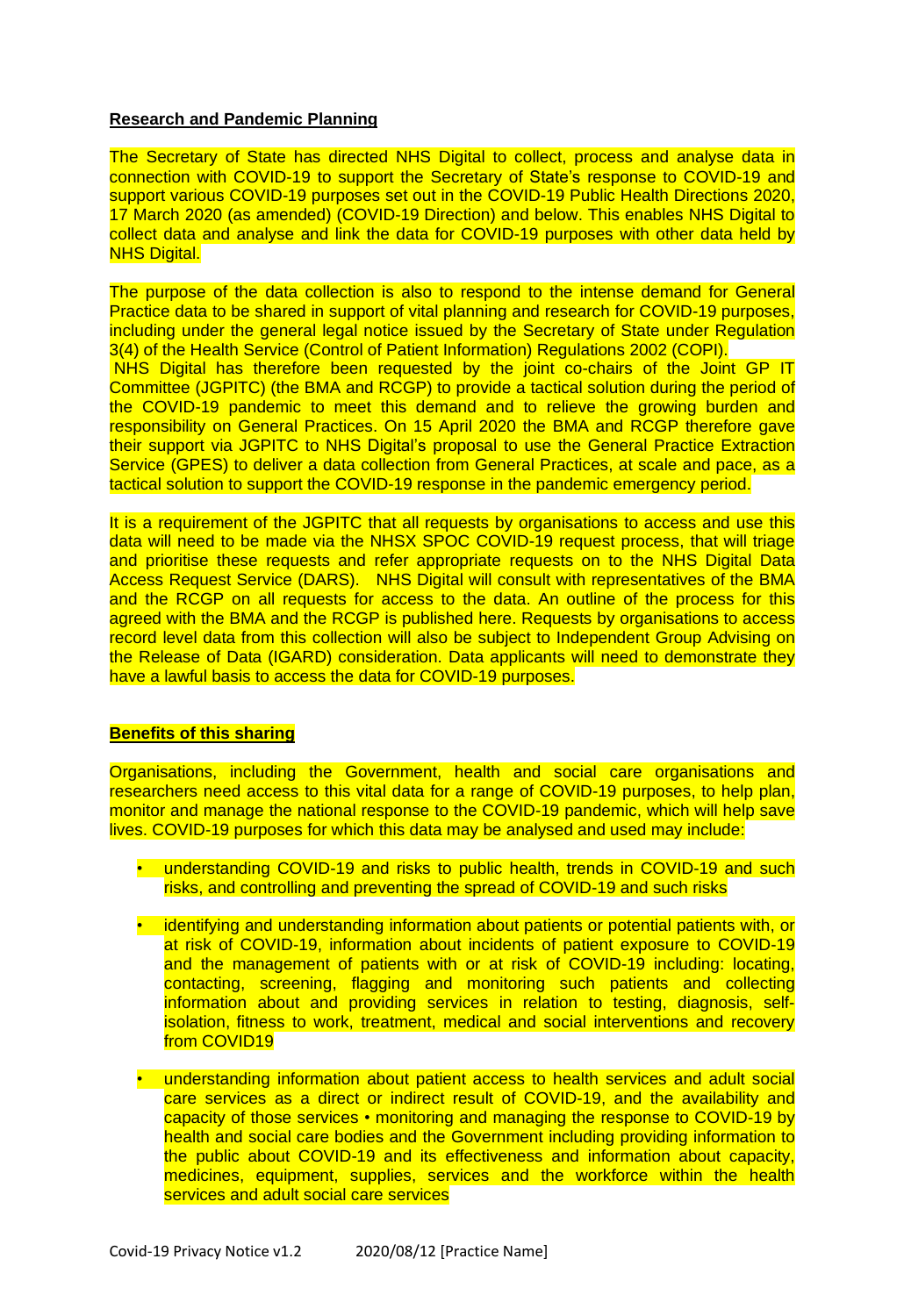### **Research and Pandemic Planning**

The Secretary of State has directed NHS Digital to collect, process and analyse data in connection with COVID-19 to support the Secretary of State's response to COVID-19 and support various COVID-19 purposes set out in the COVID-19 Public Health Directions 2020, 17 March 2020 (as amended) (COVID-19 Direction) and below. This enables NHS Digital to collect data and analyse and link the data for COVID-19 purposes with other data held by **NHS Digital.** 

The purpose of the data collection is also to respond to the intense demand for General Practice data to be shared in support of vital planning and research for COVID-19 purposes, including under the general legal notice issued by the Secretary of State under Regulation 3(4) of the Health Service (Control of Patient Information) Regulations 2002 (COPI). NHS Digital has therefore been requested by the joint co-chairs of the Joint GP IT Committee (JGPITC) (the BMA and RCGP) to provide a tactical solution during the period of the COVID-19 pandemic to meet this demand and to relieve the growing burden and responsibility on General Practices. On 15 April 2020 the BMA and RCGP therefore gave their support via JGPITC to NHS Digital's proposal to use the General Practice Extraction Service (GPES) to deliver a data collection from General Practices, at scale and pace, as a tactical solution to support the COVID-19 response in the pandemic emergency period.

It is a requirement of the JGPITC that all requests by organisations to access and use this data will need to be made via the NHSX SPOC COVID-19 request process, that will triage and prioritise these requests and refer appropriate requests on to the NHS Digital Data Access Request Service (DARS). NHS Digital will consult with representatives of the BMA and the RCGP on all requests for access to the data. An outline of the process for this agreed with the BMA and the RCGP is published here. Requests by organisations to access record level data from this collection will also be subject to Independent Group Advising on the Release of Data (IGARD) consideration. Data applicants will need to demonstrate they have a lawful basis to access the data for COVID-19 purposes.

### **Benefits of this sharing**

Organisations, including the Government, health and social care organisations and researchers need access to this vital data for a range of COVID-19 purposes, to help plan, monitor and manage the national response to the COVID-19 pandemic, which will help save lives. COVID-19 purposes for which this data may be analysed and used may include:

- understanding COVID-19 and risks to public health, trends in COVID-19 and such risks, and controlling and preventing the spread of COVID-19 and such risks
- identifying and understanding information about patients or potential patients with, or at risk of COVID-19, information about incidents of patient exposure to COVID-19 and the management of patients with or at risk of COVID-19 including: locating, contacting, screening, flagging and monitoring such patients and collecting information about and providing services in relation to testing, diagnosis, selfisolation, fitness to work, treatment, medical and social interventions and recovery from COVID19
- understanding information about patient access to health services and adult social care services as a direct or indirect result of COVID-19, and the availability and capacity of those services • monitoring and managing the response to COVID-19 by health and social care bodies and the Government including providing information to the public about COVID-19 and its effectiveness and information about capacity, medicines, equipment, supplies, services and the workforce within the health services and adult social care services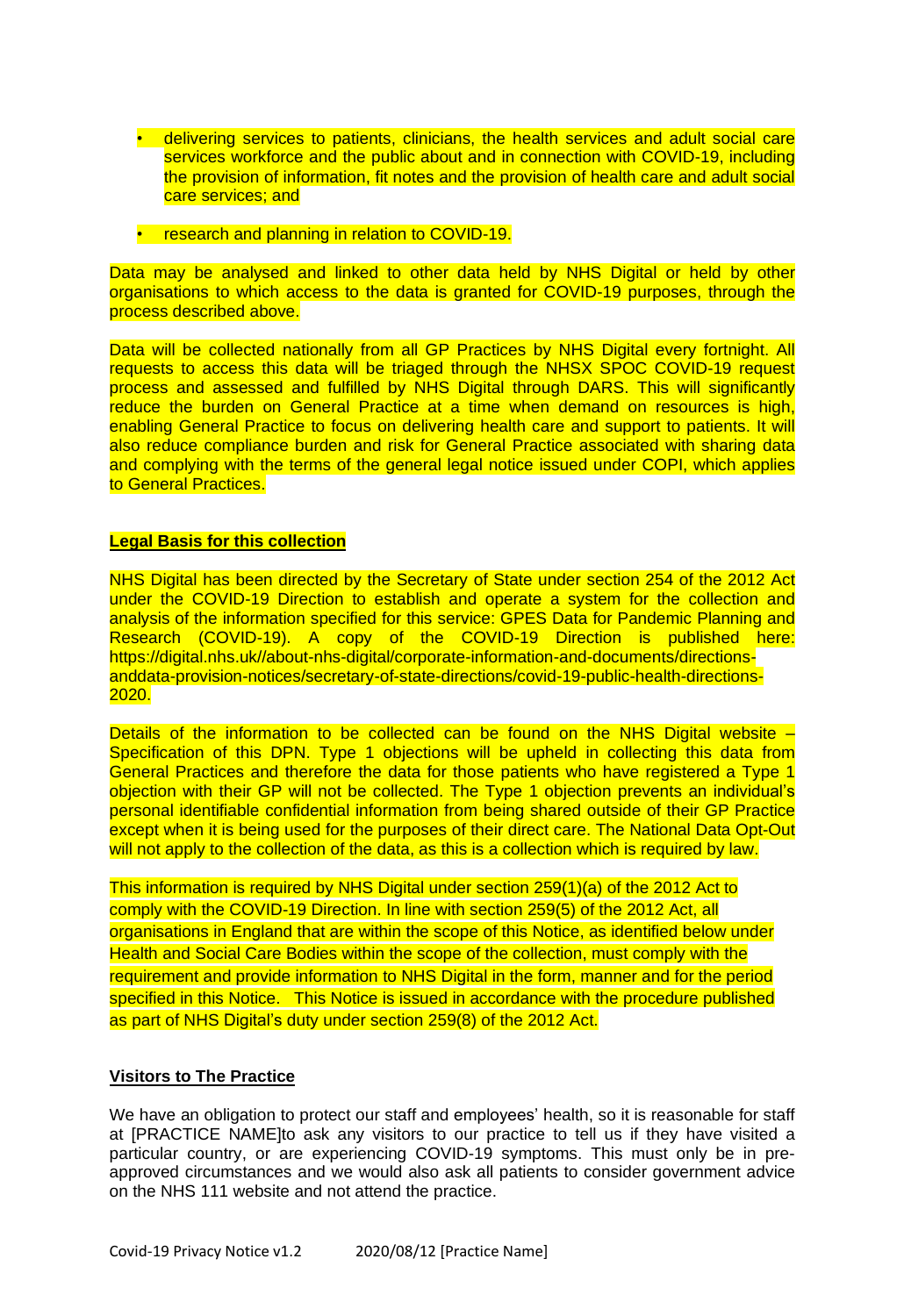- delivering services to patients, clinicians, the health services and adult social care services workforce and the public about and in connection with COVID-19, including the provision of information, fit notes and the provision of health care and adult social care services; and
- research and planning in relation to COVID-19.

Data may be analysed and linked to other data held by NHS Digital or held by other organisations to which access to the data is granted for COVID-19 purposes, through the process described above.

Data will be collected nationally from all GP Practices by NHS Digital every fortnight. All requests to access this data will be triaged through the NHSX SPOC COVID-19 request process and assessed and fulfilled by NHS Digital through DARS. This will significantly reduce the burden on General Practice at a time when demand on resources is high, enabling General Practice to focus on delivering health care and support to patients. It will also reduce compliance burden and risk for General Practice associated with sharing data and complying with the terms of the general legal notice issued under COPI, which applies to General Practices.

#### **Legal Basis for this collection**

NHS Digital has been directed by the Secretary of State under section 254 of the 2012 Act under the COVID-19 Direction to establish and operate a system for the collection and analysis of the information specified for this service: GPES Data for Pandemic Planning and Research (COVID-19). A copy of the COVID-19 Direction is published here: https://digital.nhs.uk//about-nhs-digital/corporate-information-and-documents/directionsanddata-provision-notices/secretary-of-state-directions/covid-19-public-health-directions-2020.

Details of the information to be collected can be found on the NHS Digital website -Specification of this DPN. Type 1 objections will be upheld in collecting this data from General Practices and therefore the data for those patients who have registered a Type 1 objection with their GP will not be collected. The Type 1 objection prevents an individual's personal identifiable confidential information from being shared outside of their GP Practice except when it is being used for the purposes of their direct care. The National Data Opt-Out will not apply to the collection of the data, as this is a collection which is required by law.

This information is required by NHS Digital under section 259(1)(a) of the 2012 Act to comply with the COVID-19 Direction. In line with section 259(5) of the 2012 Act, all organisations in England that are within the scope of this Notice, as identified below under Health and Social Care Bodies within the scope of the collection, must comply with the requirement and provide information to NHS Digital in the form, manner and for the period specified in this Notice. This Notice is issued in accordance with the procedure published as part of NHS Digital's duty under section 259(8) of the 2012 Act.

### **Visitors to The Practice**

We have an obligation to protect our staff and employees' health, so it is reasonable for staff at [PRACTICE NAME]to ask any visitors to our practice to tell us if they have visited a particular country, or are experiencing COVID-19 symptoms. This must only be in preapproved circumstances and we would also ask all patients to consider government advice on the NHS 111 website and not attend the practice.